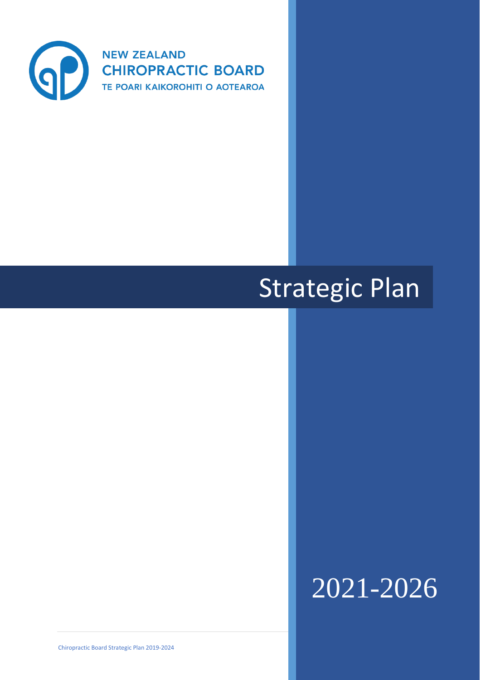

# Strategic Plan

# 2021-2026

Chiropractic Board Strategic Plan 2019-2024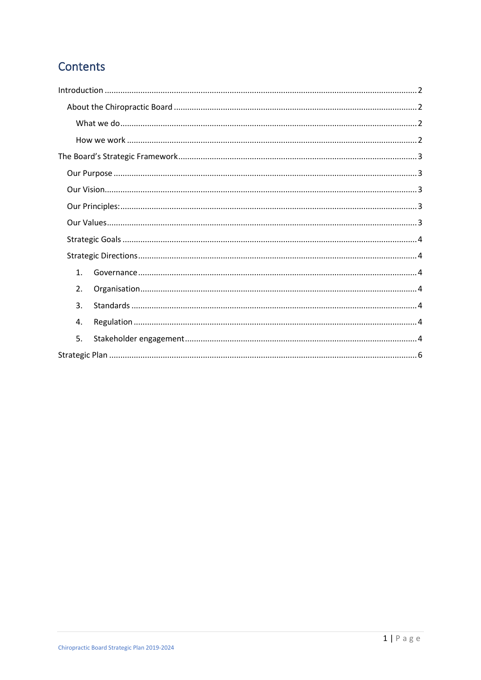# Contents

| 1. |  |
|----|--|
| 2. |  |
| 3. |  |
| 4. |  |
| 5. |  |
|    |  |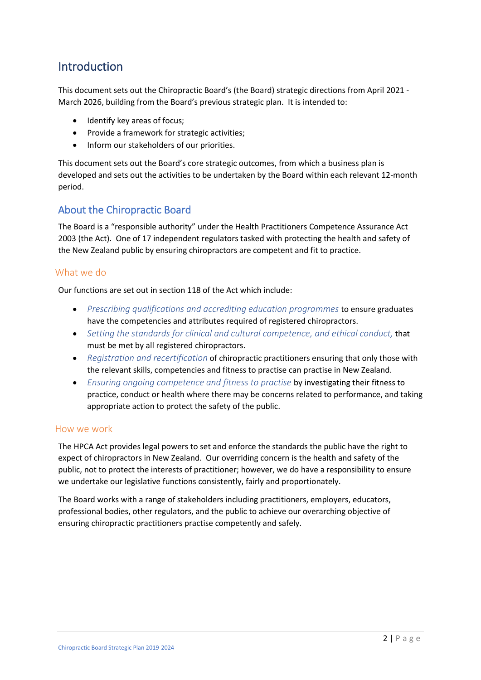## <span id="page-2-0"></span>**Introduction**

This document sets out the Chiropractic Board's (the Board) strategic directions from April 2021 - March 2026, building from the Board's previous strategic plan. It is intended to:

- Identify key areas of focus;
- Provide a framework for strategic activities;
- Inform our stakeholders of our priorities.

This document sets out the Board's core strategic outcomes, from which a business plan is developed and sets out the activities to be undertaken by the Board within each relevant 12-month period.

## <span id="page-2-1"></span>About the Chiropractic Board

The Board is a "responsible authority" under the Health Practitioners Competence Assurance Act 2003 (the Act). One of 17 independent regulators tasked with protecting the health and safety of the New Zealand public by ensuring chiropractors are competent and fit to practice.

## <span id="page-2-2"></span>What we do

Our functions are set out in section 118 of the Act which include:

- *Prescribing qualifications and accrediting education programmes* to ensure graduates have the competencies and attributes required of registered chiropractors.
- *Setting the standards for clinical and cultural competence, and ethical conduct,* that must be met by all registered chiropractors.
- *Registration and recertification* of chiropractic practitioners ensuring that only those with the relevant skills, competencies and fitness to practise can practise in New Zealand.
- *Ensuring ongoing competence and fitness to practise* by investigating their fitness to practice, conduct or health where there may be concerns related to performance, and taking appropriate action to protect the safety of the public.

#### <span id="page-2-3"></span>How we work

The HPCA Act provides legal powers to set and enforce the standards the public have the right to expect of chiropractors in New Zealand. Our overriding concern is the health and safety of the public, not to protect the interests of practitioner; however, we do have a responsibility to ensure we undertake our legislative functions consistently, fairly and proportionately.

The Board works with a range of stakeholders including practitioners, employers, educators, professional bodies, other regulators, and the public to achieve our overarching objective of ensuring chiropractic practitioners practise competently and safely.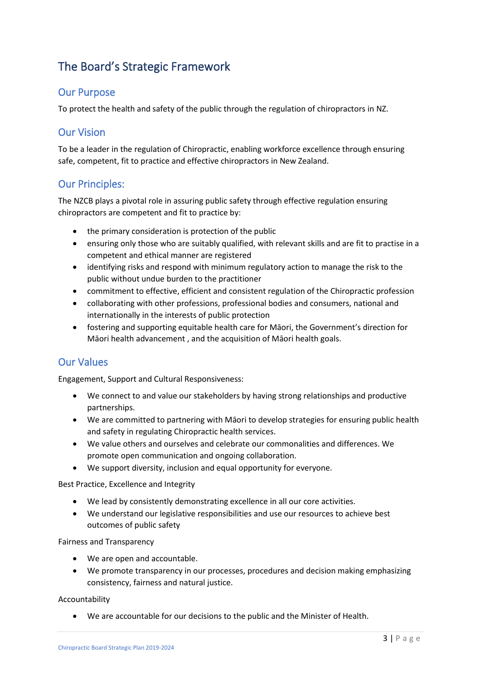## <span id="page-3-0"></span>The Board's Strategic Framework

## <span id="page-3-1"></span>Our Purpose

To protect the health and safety of the public through the regulation of chiropractors in NZ.

## <span id="page-3-2"></span>Our Vision

To be a leader in the regulation of Chiropractic, enabling workforce excellence through ensuring safe, competent, fit to practice and effective chiropractors in New Zealand.

## <span id="page-3-3"></span>Our Principles:

The NZCB plays a pivotal role in assuring public safety through effective regulation ensuring chiropractors are competent and fit to practice by:

- the primary consideration is protection of the public
- ensuring only those who are suitably qualified, with relevant skills and are fit to practise in a competent and ethical manner are registered
- identifying risks and respond with minimum regulatory action to manage the risk to the public without undue burden to the practitioner
- commitment to effective, efficient and consistent regulation of the Chiropractic profession
- collaborating with other professions, professional bodies and consumers, national and internationally in the interests of public protection
- fostering and supporting equitable health care for Māori, the Government's direction for Māori health advancement , and the acquisition of Māori health goals.

## <span id="page-3-4"></span>Our Values

Engagement, Support and Cultural Responsiveness:

- We connect to and value our stakeholders by having strong relationships and productive partnerships.
- We are committed to partnering with Māori to develop strategies for ensuring public health and safety in regulating Chiropractic health services.
- We value others and ourselves and celebrate our commonalities and differences. We promote open communication and ongoing collaboration.
- We support diversity, inclusion and equal opportunity for everyone.

Best Practice, Excellence and Integrity

- We lead by consistently demonstrating excellence in all our core activities.
- We understand our legislative responsibilities and use our resources to achieve best outcomes of public safety

Fairness and Transparency

- We are open and accountable.
- We promote transparency in our processes, procedures and decision making emphasizing consistency, fairness and natural justice.

Accountability

• We are accountable for our decisions to the public and the Minister of Health.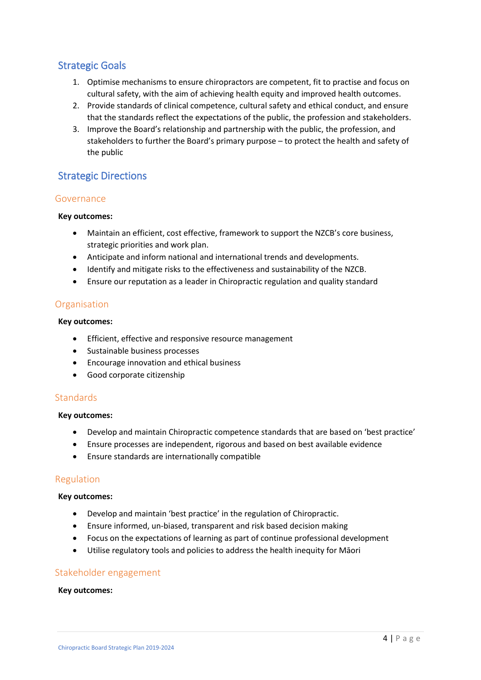## <span id="page-4-0"></span>Strategic Goals

- 1. Optimise mechanisms to ensure chiropractors are competent, fit to practise and focus on cultural safety, with the aim of achieving health equity and improved health outcomes.
- 2. Provide standards of clinical competence, cultural safety and ethical conduct, and ensure that the standards reflect the expectations of the public, the profession and stakeholders.
- 3. Improve the Board's relationship and partnership with the public, the profession, and stakeholders to further the Board's primary purpose – to protect the health and safety of the public

## <span id="page-4-1"></span>Strategic Directions

## <span id="page-4-2"></span>Governance

#### **Key outcomes:**

- Maintain an efficient, cost effective, framework to support the NZCB's core business, strategic priorities and work plan.
- Anticipate and inform national and international trends and developments.
- Identify and mitigate risks to the effectiveness and sustainability of the NZCB.
- Ensure our reputation as a leader in Chiropractic regulation and quality standard

## <span id="page-4-3"></span>Organisation

#### **Key outcomes:**

- Efficient, effective and responsive resource management
- Sustainable business processes
- Encourage innovation and ethical business
- Good corporate citizenship

## <span id="page-4-4"></span>**Standards**

#### **Key outcomes:**

- Develop and maintain Chiropractic competence standards that are based on 'best practice'
- Ensure processes are independent, rigorous and based on best available evidence
- Ensure standards are internationally compatible

## <span id="page-4-5"></span>Regulation

#### **Key outcomes:**

- Develop and maintain 'best practice' in the regulation of Chiropractic.
- Ensure informed, un-biased, transparent and risk based decision making
- Focus on the expectations of learning as part of continue professional development
- Utilise regulatory tools and policies to address the health inequity for Māori

## <span id="page-4-6"></span>Stakeholder engagement

#### **Key outcomes:**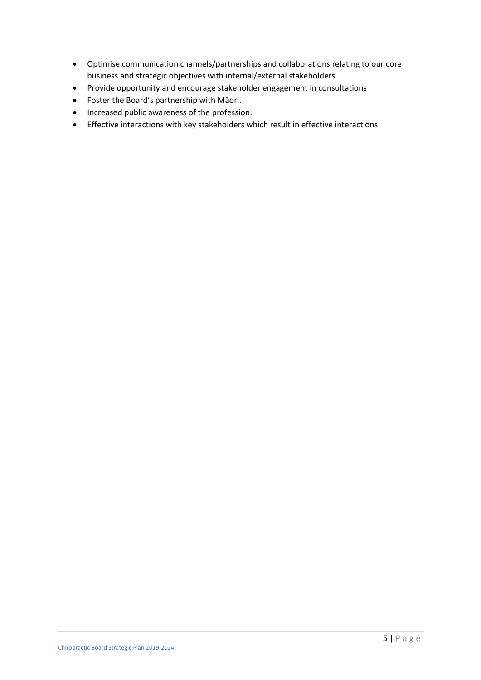- Optimise communication channels/partnerships and collaborations relating to our core business and strategic objectives with internal/external stakeholders
- Provide opportunity and encourage stakeholder engagement in consultations
- Foster the Board's partnership with Māori.
- Increased public awareness of the profession.
- Effective interactions with key stakeholders which result in effective interactions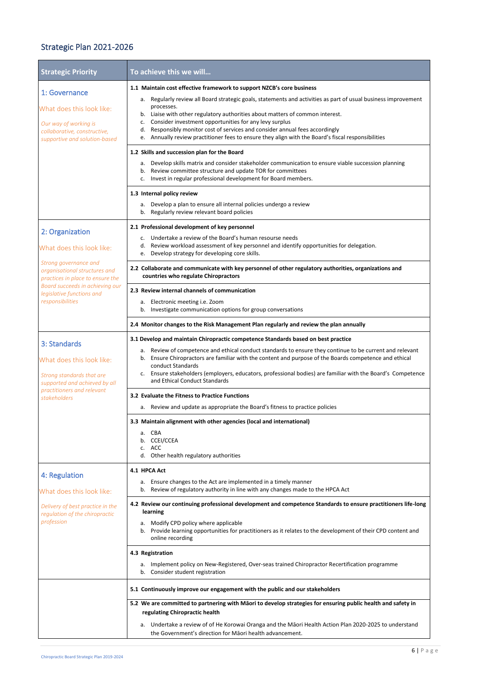# <span id="page-6-0"></span>Strategic Plan 2021-2026

| <b>Strategic Priority</b>                                                                                                                                                                      | To achieve this we will                                                                                                                                                                                               |
|------------------------------------------------------------------------------------------------------------------------------------------------------------------------------------------------|-----------------------------------------------------------------------------------------------------------------------------------------------------------------------------------------------------------------------|
| 1: Governance                                                                                                                                                                                  | 1.1 Maintain cost effective framework to support NZCB's core business                                                                                                                                                 |
|                                                                                                                                                                                                | Regularly review all Board strategic goals, statements and activities as part of usual business improvement<br>а.<br>processes.                                                                                       |
| What does this look like:                                                                                                                                                                      | Liaise with other regulatory authorities about matters of common interest.<br>b.                                                                                                                                      |
| Our way of working is<br>collaborative, constructive,                                                                                                                                          | Consider investment opportunities for any levy surplus<br>c.<br>Responsibly monitor cost of services and consider annual fees accordingly<br>d.                                                                       |
| supportive and solution-based                                                                                                                                                                  | Annually review practitioner fees to ensure they align with the Board's fiscal responsibilities<br>e.                                                                                                                 |
|                                                                                                                                                                                                | 1.2 Skills and succession plan for the Board                                                                                                                                                                          |
|                                                                                                                                                                                                | a. Develop skills matrix and consider stakeholder communication to ensure viable succession planning                                                                                                                  |
|                                                                                                                                                                                                | Review committee structure and update TOR for committees<br>b.<br>Invest in regular professional development for Board members.<br>c.                                                                                 |
|                                                                                                                                                                                                | 1.3 Internal policy review                                                                                                                                                                                            |
|                                                                                                                                                                                                | a. Develop a plan to ensure all internal policies undergo a review<br>Regularly review relevant board policies<br>b.                                                                                                  |
| 2: Organization                                                                                                                                                                                | 2.1 Professional development of key personnel                                                                                                                                                                         |
|                                                                                                                                                                                                | Undertake a review of the Board's human resourse needs<br>C <sub>1</sub><br>Review workload assessment of key personnel and identify opportunities for delegation.<br>d.                                              |
| What does this look like:                                                                                                                                                                      | Develop strategy for developing core skills.<br>e.                                                                                                                                                                    |
| Strong governance and<br>organisational structures and<br>practices in place to ensure the<br>Board succeeds in achieving our<br>legislative functions and<br>responsibilities<br>3: Standards | 2.2 Collaborate and communicate with key personnel of other regulatory authorities, organizations and<br>countries who regulate Chiropractors                                                                         |
|                                                                                                                                                                                                | 2.3 Review internal channels of communication                                                                                                                                                                         |
|                                                                                                                                                                                                | a. Electronic meeting i.e. Zoom                                                                                                                                                                                       |
|                                                                                                                                                                                                | Investigate communication options for group conversations<br>b.                                                                                                                                                       |
|                                                                                                                                                                                                | 2.4 Monitor changes to the Risk Management Plan regularly and review the plan annually                                                                                                                                |
|                                                                                                                                                                                                | 3.1 Develop and maintain Chiropractic competence Standards based on best practice                                                                                                                                     |
| What does this look like:                                                                                                                                                                      | a. Review of competence and ethical conduct standards to ensure they continue to be current and relevant<br>Ensure Chiropractors are familiar with the content and purpose of the Boards competence and ethical<br>b. |
| Strong standards that are<br>supported and achieved by all<br>practitioners and relevant<br>stakeholders                                                                                       | conduct Standards                                                                                                                                                                                                     |
|                                                                                                                                                                                                | Ensure stakeholders (employers, educators, professional bodies) are familiar with the Board's Competence<br>c.<br>and Ethical Conduct Standards                                                                       |
|                                                                                                                                                                                                | 3.2 Evaluate the Fitness to Practice Functions                                                                                                                                                                        |
|                                                                                                                                                                                                | a. Review and update as appropriate the Board's fitness to practice policies                                                                                                                                          |
|                                                                                                                                                                                                | 3.3 Maintain alignment with other agencies (local and international)                                                                                                                                                  |
|                                                                                                                                                                                                | a. CBA<br>b. CCEI/CCEA                                                                                                                                                                                                |
|                                                                                                                                                                                                | c. ACC                                                                                                                                                                                                                |
|                                                                                                                                                                                                | Other health regulatory authorities<br>d.                                                                                                                                                                             |
| 4: Regulation                                                                                                                                                                                  | 4.1 HPCA Act                                                                                                                                                                                                          |
| What does this look like:                                                                                                                                                                      | a. Ensure changes to the Act are implemented in a timely manner<br>Review of regulatory authority in line with any changes made to the HPCA Act<br>b.                                                                 |
| Delivery of best practice in the<br>regulation of the chiropractic                                                                                                                             | 4.2 Review our continuing professional development and competence Standards to ensure practitioners life-long<br>learning                                                                                             |
| profession                                                                                                                                                                                     | a. Modify CPD policy where applicable                                                                                                                                                                                 |
|                                                                                                                                                                                                | Provide learning opportunities for practitioners as it relates to the development of their CPD content and<br>b.<br>online recording                                                                                  |
|                                                                                                                                                                                                | 4.3 Registration                                                                                                                                                                                                      |
|                                                                                                                                                                                                | a. Implement policy on New-Registered, Over-seas trained Chiropractor Recertification programme<br>b. Consider student registration                                                                                   |
|                                                                                                                                                                                                | 5.1 Continuously improve our engagement with the public and our stakeholders                                                                                                                                          |
|                                                                                                                                                                                                | 5.2 We are committed to partnering with Māori to develop strategies for ensuring public health and safety in<br>regulating Chiropractic health                                                                        |
|                                                                                                                                                                                                | Undertake a review of of He Korowai Oranga and the Māori Health Action Plan 2020-2025 to understand<br>а.<br>the Government's direction for Maori health advancement.                                                 |